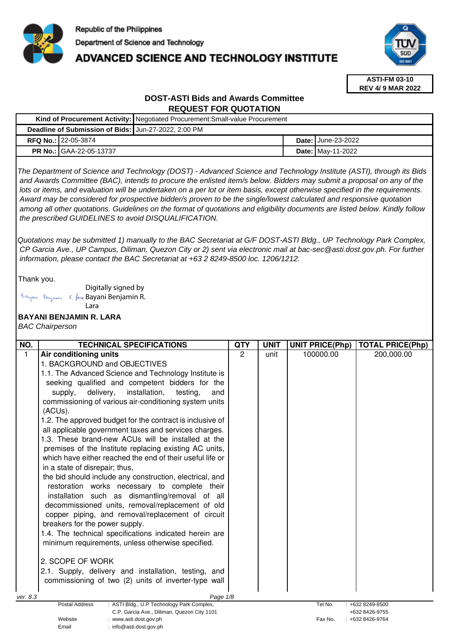

# **ADVANCED SCIENCE AND TECHNOLOGY INSTITUTE**



**ASTI-FM 03-10 REV 4/ 9 MAR 2022**

# **DOST-ASTI Bids and Awards Committee REQUEST FOR QUOTATION**

|                                                      | Kind of Procurement Activity:   Negotiated Procurement: Small-value Procurement |                             |
|------------------------------------------------------|---------------------------------------------------------------------------------|-----------------------------|
| Deadline of Submission of Bids: Jun-27-2022, 2:00 PM |                                                                                 |                             |
| <b>RFQ No.: 22-05-3874</b>                           |                                                                                 | <b>Date: I</b> June-23-2022 |
| <b>PR No.: GAA-22-05-13737</b>                       |                                                                                 | <b>Date: May-11-2022</b>    |

The Department of Science and Technology (DOST) - Advanced Science and Technology Institute (ASTI), through its Bids and Awards Committee (BAC), intends to procure the enlisted item/s below. Bidders may submit a proposal on any of the lots or items, and evaluation will be undertaken on a per lot or item basis, except otherwise specified in the requirements. Award may be considered for prospective bidder/s proven to be the single/lowest calculated and responsive quotation among all other quotations. Guidelines on the format of quotations and eligibility documents are listed below. Kindly follow the prescribed GUIDELINES to avoid DISQUALIFICATION.

Quotations may be submitted 1) manually to the BAC Secretariat at G/F DOST-ASTI Bldg., UP Technology Park Complex, CP Garcia Ave., UP Campus, Diliman, Quezon City or 2) sent via electronic mail at bac-sec@asti.dost.gov.ph. For further information, please contact the BAC Secretariat at +63 2 8249-8500 loc. 1206/1212.

Thank you.

Digitally signed by Bayani Benjamin R. fara Bayani Benjamin R. Lara

Email : info@asti.dost.gov.ph

# **BAYANI BENJAMIN R. LARA**

BAC Chairperson

| NO.          | <b>TECHNICAL SPECIFICATIONS</b>                                                 | <b>QTY</b>    | <b>UNIT</b> | <b>UNIT PRICE(Php)</b> | <b>TOTAL PRICE(Php)</b> |
|--------------|---------------------------------------------------------------------------------|---------------|-------------|------------------------|-------------------------|
| $\mathbf{1}$ | Air conditioning units                                                          | $\mathcal{P}$ | unit        | 100000.00              | 200,000.00              |
|              | 1. BACKGROUND and OBJECTIVES                                                    |               |             |                        |                         |
|              | 1.1. The Advanced Science and Technology Institute is                           |               |             |                        |                         |
|              | seeking qualified and competent bidders for the                                 |               |             |                        |                         |
|              | installation,<br>delivery,<br>testing,<br>supply,<br>and                        |               |             |                        |                         |
|              | commissioning of various air-conditioning system units                          |               |             |                        |                         |
|              | (ACUs).                                                                         |               |             |                        |                         |
|              | 1.2. The approved budget for the contract is inclusive of                       |               |             |                        |                         |
|              | all applicable government taxes and services charges.                           |               |             |                        |                         |
|              | 1.3. These brand-new ACUs will be installed at the                              |               |             |                        |                         |
|              | premises of the Institute replacing existing AC units,                          |               |             |                        |                         |
|              | which have either reached the end of their useful life or                       |               |             |                        |                         |
|              | in a state of disrepair; thus,                                                  |               |             |                        |                         |
|              | the bid should include any construction, electrical, and                        |               |             |                        |                         |
|              | restoration works necessary to complete their                                   |               |             |                        |                         |
|              | installation such as dismantling/removal of all                                 |               |             |                        |                         |
|              | decommissioned units, removal/replacement of old                                |               |             |                        |                         |
|              | copper piping, and removal/replacement of circuit                               |               |             |                        |                         |
|              | breakers for the power supply.                                                  |               |             |                        |                         |
|              | 1.4. The technical specifications indicated herein are                          |               |             |                        |                         |
|              | minimum requirements, unless otherwise specified.                               |               |             |                        |                         |
|              |                                                                                 |               |             |                        |                         |
|              | 2. SCOPE OF WORK                                                                |               |             |                        |                         |
|              | 2.1. Supply, delivery and installation, testing, and                            |               |             |                        |                         |
|              | commissioning of two (2) units of inverter-type wall                            |               |             |                        |                         |
|              |                                                                                 |               |             |                        |                         |
| ver. 8.3     | Page 1/8<br>: ASTI Bldg., U.P Technology Park Complex,<br><b>Postal Address</b> |               |             | Tel No.                | $: +6328249 - 8500$     |
|              | C.P. Garcia Ave., Diliman, Quezon City 1101                                     |               |             |                        | +632 8426-9755          |
|              | Website<br>:www.asti.dost.gov.ph                                                |               |             | Fax No.                | +632 8426-9764          |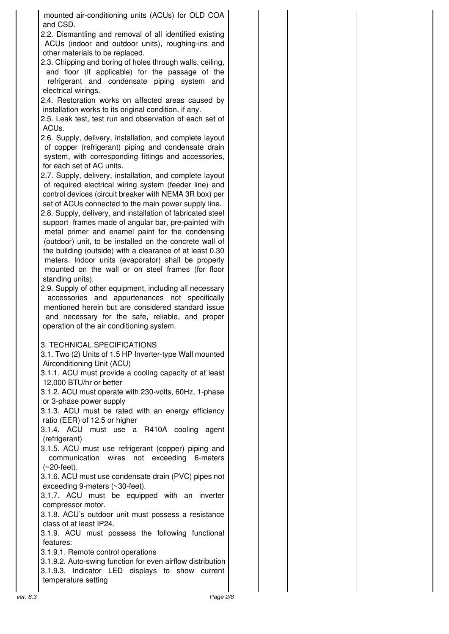mounted air-conditioning units (ACUs) for OLD COA and CSD.

2.2. Dismantling and removal of all identified existing ACUs (indoor and outdoor units), roughing-ins and other materials to be replaced.

2.3. Chipping and boring of holes through walls, ceiling, and floor (if applicable) for the passage of the refrigerant and condensate piping system and electrical wirings.

2.4. Restoration works on affected areas caused by installation works to its original condition, if any.

2.5. Leak test, test run and observation of each set of ACUs.

2.6. Supply, delivery, installation, and complete layout of copper (refrigerant) piping and condensate drain system, with corresponding fittings and accessories, for each set of AC units.

2.7. Supply, delivery, installation, and complete layout of required electrical wiring system (feeder line) and control devices (circuit breaker with NEMA 3R box) per set of ACUs connected to the main power supply line.

2.8. Supply, delivery, and installation of fabricated steel support frames made of angular bar, pre-painted with metal primer and enamel paint for the condensing (outdoor) unit, to be installed on the concrete wall of the building (outside) with a clearance of at least 0.30 meters. Indoor units (evaporator) shall be properly mounted on the wall or on steel frames (for floor standing units).

2.9. Supply of other equipment, including all necessary accessories and appurtenances not specifically mentioned herein but are considered standard issue and necessary for the safe, reliable, and proper operation of the air conditioning system.

## 3. TECHNICAL SPECIFICATIONS

3.1. Two (2) Units of 1.5 HP Inverter-type Wall mounted Airconditioning Unit (ACU)

3.1.1. ACU must provide a cooling capacity of at least 12,000 BTU/hr or better

3.1.2. ACU must operate with 230-volts, 60Hz, 1-phase or 3-phase power supply

3.1.3. ACU must be rated with an energy efficiency ratio (EER) of 12.5 or higher

3.1.4. ACU must use a R410A cooling agent (refrigerant)

3.1.5. ACU must use refrigerant (copper) piping and communication wires not exceeding 6-meters (~20-feet).

3.1.6. ACU must use condensate drain (PVC) pipes not exceeding 9-meters (~30-feet).

3.1.7. ACU must be equipped with an inverter compressor motor.

3.1.8. ACU's outdoor unit must possess a resistance class of at least IP24.

3.1.9. ACU must possess the following functional features:

3.1.9.1. Remote control operations

3.1.9.2. Auto-swing function for even airflow distribution 3.1.9.3. Indicator LED displays to show current temperature setting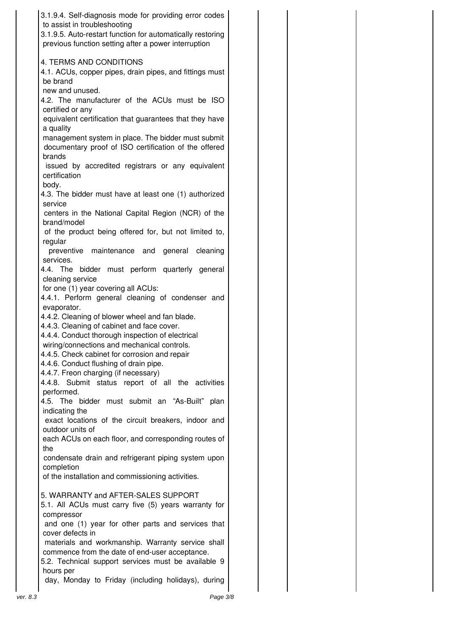| 3.1.9.4. Self-diagnosis mode for providing error codes<br>to assist in troubleshooting<br>3.1.9.5. Auto-restart function for automatically restoring<br>previous function setting after a power interruption |  |
|--------------------------------------------------------------------------------------------------------------------------------------------------------------------------------------------------------------|--|
|                                                                                                                                                                                                              |  |
| <b>4. TERMS AND CONDITIONS</b><br>4.1. ACUs, copper pipes, drain pipes, and fittings must<br>be brand                                                                                                        |  |
| new and unused.<br>4.2. The manufacturer of the ACUs must be ISO<br>certified or any                                                                                                                         |  |
| equivalent certification that guarantees that they have<br>a quality                                                                                                                                         |  |
| management system in place. The bidder must submit<br>documentary proof of ISO certification of the offered<br>brands                                                                                        |  |
| issued by accredited registrars or any equivalent<br>certification<br>body.                                                                                                                                  |  |
| 4.3. The bidder must have at least one (1) authorized<br>service                                                                                                                                             |  |
| centers in the National Capital Region (NCR) of the<br>brand/model                                                                                                                                           |  |
| of the product being offered for, but not limited to,<br>regular                                                                                                                                             |  |
| preventive maintenance and<br>general<br>cleaning<br>services.                                                                                                                                               |  |
| 4.4. The bidder must perform quarterly general<br>cleaning service                                                                                                                                           |  |
| for one (1) year covering all ACUs:<br>4.4.1. Perform general cleaning of condenser and                                                                                                                      |  |
| evaporator.<br>4.4.2. Cleaning of blower wheel and fan blade.<br>4.4.3. Cleaning of cabinet and face cover.                                                                                                  |  |
| 4.4.4. Conduct thorough inspection of electrical<br>wiring/connections and mechanical controls                                                                                                               |  |
| 4.4.5. Check cabinet for corrosion and repair<br>4.4.6. Conduct flushing of drain pipe.                                                                                                                      |  |
| 4.4.7. Freon charging (if necessary)<br>4.4.8. Submit status report of all the activities                                                                                                                    |  |
| performed.<br>4.5. The bidder must submit an "As-Built" plan                                                                                                                                                 |  |
| indicating the<br>exact locations of the circuit breakers, indoor and                                                                                                                                        |  |
| outdoor units of<br>each ACUs on each floor, and corresponding routes of                                                                                                                                     |  |
| the<br>condensate drain and refrigerant piping system upon                                                                                                                                                   |  |
|                                                                                                                                                                                                              |  |
| completion<br>of the installation and commissioning activities.                                                                                                                                              |  |
| 5. WARRANTY and AFTER-SALES SUPPORT                                                                                                                                                                          |  |
| 5.1. All ACUs must carry five (5) years warranty for<br>compressor                                                                                                                                           |  |
| and one (1) year for other parts and services that<br>cover defects in                                                                                                                                       |  |
| materials and workmanship. Warranty service shall<br>commence from the date of end-user acceptance.                                                                                                          |  |
| 5.2. Technical support services must be available 9<br>hours per                                                                                                                                             |  |
| day, Monday to Friday (including holidays), during                                                                                                                                                           |  |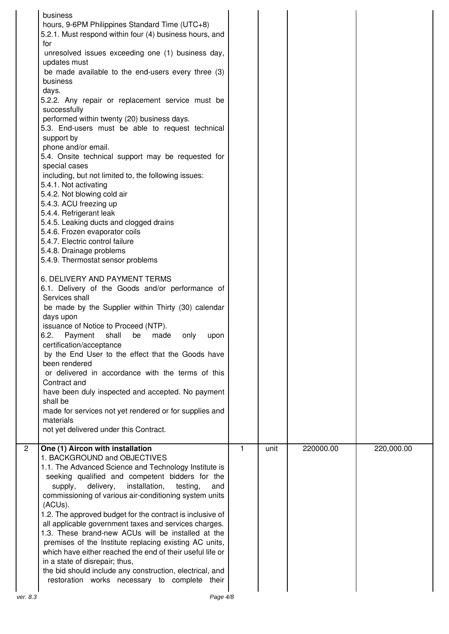|                | business<br>hours, 9-6PM Philippines Standard Time (UTC+8)<br>5.2.1. Must respond within four (4) business hours, and<br>for<br>unresolved issues exceeding one (1) business day,<br>updates must<br>be made available to the end-users every three (3)<br>business<br>days.<br>5.2.2. Any repair or replacement service must be<br>successfully<br>performed within twenty (20) business days.<br>5.3. End-users must be able to request technical<br>support by<br>phone and/or email.<br>5.4. Onsite technical support may be requested for<br>special cases<br>including, but not limited to, the following issues:<br>5.4.1. Not activating<br>5.4.2. Not blowing cold air<br>5.4.3. ACU freezing up<br>5.4.4. Refrigerant leak<br>5.4.5. Leaking ducts and clogged drains<br>5.4.6. Frozen evaporator coils<br>5.4.7. Electric control failure<br>5.4.8. Drainage problems<br>5.4.9. Thermostat sensor problems<br>6. DELIVERY AND PAYMENT TERMS<br>6.1. Delivery of the Goods and/or performance of<br>Services shall<br>be made by the Supplier within Thirty (30) calendar<br>days upon<br>issuance of Notice to Proceed (NTP).<br>6.2.<br>shall<br>Payment<br>be<br>made<br>only<br>upon<br>certification/acceptance<br>by the End User to the effect that the Goods have<br>been rendered<br>or delivered in accordance with the terms of this<br>Contract and<br>have been duly inspected and accepted. No payment<br>shall be<br>made for services not yet rendered or for supplies and<br>materials<br>not yet delivered under this Contract. |              |      |           |            |
|----------------|-------------------------------------------------------------------------------------------------------------------------------------------------------------------------------------------------------------------------------------------------------------------------------------------------------------------------------------------------------------------------------------------------------------------------------------------------------------------------------------------------------------------------------------------------------------------------------------------------------------------------------------------------------------------------------------------------------------------------------------------------------------------------------------------------------------------------------------------------------------------------------------------------------------------------------------------------------------------------------------------------------------------------------------------------------------------------------------------------------------------------------------------------------------------------------------------------------------------------------------------------------------------------------------------------------------------------------------------------------------------------------------------------------------------------------------------------------------------------------------------------------------------------------------------------------------|--------------|------|-----------|------------|
| $\overline{2}$ | One (1) Aircon with installation<br>1. BACKGROUND and OBJECTIVES<br>1.1. The Advanced Science and Technology Institute is<br>seeking qualified and competent bidders for the<br>delivery,<br>installation,<br>supply,<br>testing,<br>and<br>commissioning of various air-conditioning system units<br>(ACUs).<br>1.2. The approved budget for the contract is inclusive of<br>all applicable government taxes and services charges.<br>1.3. These brand-new ACUs will be installed at the<br>premises of the Institute replacing existing AC units,<br>which have either reached the end of their useful life or<br>in a state of disrepair; thus,<br>the bid should include any construction, electrical, and<br>restoration works necessary to complete their                                                                                                                                                                                                                                                                                                                                                                                                                                                                                                                                                                                                                                                                                                                                                                                             | $\mathbf{1}$ | unit | 220000.00 | 220,000.00 |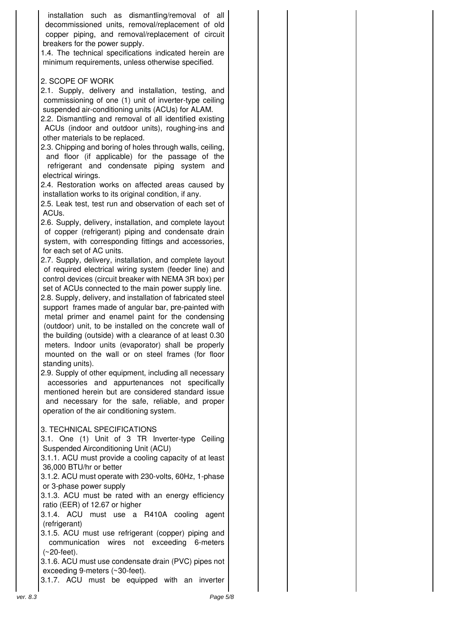installation such as dismantling/removal of all decommissioned units, removal/replacement of old copper piping, and removal/replacement of circuit breakers for the power supply.

1.4. The technical specifications indicated herein are minimum requirements, unless otherwise specified.

## 2. SCOPE OF WORK

2.1. Supply, delivery and installation, testing, and commissioning of one (1) unit of inverter-type ceiling suspended air-conditioning units (ACUs) for ALAM.

2.2. Dismantling and removal of all identified existing ACUs (indoor and outdoor units), roughing-ins and other materials to be replaced.

2.3. Chipping and boring of holes through walls, ceiling, and floor (if applicable) for the passage of the refrigerant and condensate piping system and electrical wirings.

2.4. Restoration works on affected areas caused by installation works to its original condition, if any.

2.5. Leak test, test run and observation of each set of ACUs.

2.6. Supply, delivery, installation, and complete layout of copper (refrigerant) piping and condensate drain system, with corresponding fittings and accessories, for each set of AC units.

2.7. Supply, delivery, installation, and complete layout of required electrical wiring system (feeder line) and control devices (circuit breaker with NEMA 3R box) per set of ACUs connected to the main power supply line.

2.8. Supply, delivery, and installation of fabricated steel support frames made of angular bar, pre-painted with metal primer and enamel paint for the condensing (outdoor) unit, to be installed on the concrete wall of the building (outside) with a clearance of at least 0.30 meters. Indoor units (evaporator) shall be properly mounted on the wall or on steel frames (for floor standing units).

2.9. Supply of other equipment, including all necessary accessories and appurtenances not specifically mentioned herein but are considered standard issue and necessary for the safe, reliable, and proper operation of the air conditioning system.

## 3. TECHNICAL SPECIFICATIONS

3.1. One (1) Unit of 3 TR Inverter-type Ceiling Suspended Airconditioning Unit (ACU)

3.1.1. ACU must provide a cooling capacity of at least 36,000 BTU/hr or better

3.1.2. ACU must operate with 230-volts, 60Hz, 1-phase or 3-phase power supply

3.1.3. ACU must be rated with an energy efficiency ratio (EER) of 12.67 or higher

3.1.4. ACU must use a R410A cooling agent (refrigerant)

3.1.5. ACU must use refrigerant (copper) piping and communication wires not exceeding 6-meters (~20-feet).

3.1.6. ACU must use condensate drain (PVC) pipes not exceeding 9-meters (~30-feet).

3.1.7. ACU must be equipped with an inverter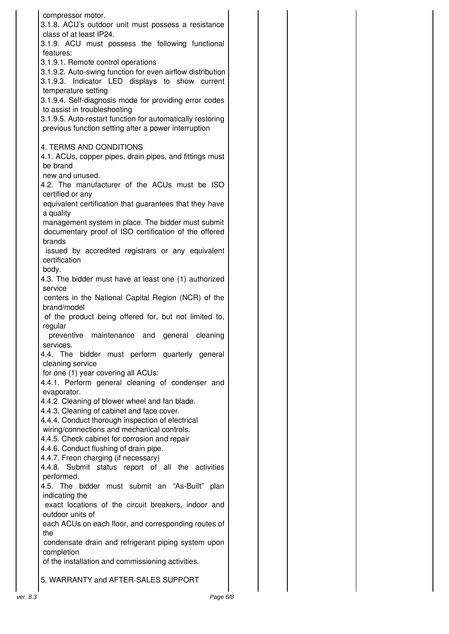| compressor motor.<br>3.1.8. ACU's outdoor unit must possess a resistance<br>class of at least IP24.                                                                                                          |  |
|--------------------------------------------------------------------------------------------------------------------------------------------------------------------------------------------------------------|--|
| 3.1.9. ACU must possess the following functional<br>features:                                                                                                                                                |  |
| 3.1.9.1. Remote control operations<br>3.1.9.2. Auto-swing function for even airflow distribution<br>3.1.9.3. Indicator LED displays to show current<br>temperature setting                                   |  |
| 3.1.9.4. Self-diagnosis mode for providing error codes<br>to assist in troubleshooting<br>3.1.9.5. Auto-restart function for automatically restoring<br>previous function setting after a power interruption |  |
| 4. TERMS AND CONDITIONS<br>4.1. ACUs, copper pipes, drain pipes, and fittings must<br>be brand                                                                                                               |  |
| new and unused.<br>4.2. The manufacturer of the ACUs must be ISO<br>certified or any                                                                                                                         |  |
| equivalent certification that guarantees that they have<br>a quality                                                                                                                                         |  |
| management system in place. The bidder must submit<br>documentary proof of ISO certification of the offered<br>brands                                                                                        |  |
| issued by accredited registrars or any equivalent<br>certification<br>body.                                                                                                                                  |  |
| 4.3. The bidder must have at least one (1) authorized<br>service                                                                                                                                             |  |
| centers in the National Capital Region (NCR) of the<br>brand/model                                                                                                                                           |  |
| of the product being offered for, but not limited to,<br>regular<br>preventive maintenance and general cleaning                                                                                              |  |
| services.                                                                                                                                                                                                    |  |
| bidder must perform quarterly general<br>4.4. The<br>cleaning service<br>for one (1) year covering all ACUs:                                                                                                 |  |
| 4.4.1. Perform general cleaning of condenser and<br>evaporator.                                                                                                                                              |  |
| 4.4.2. Cleaning of blower wheel and fan blade.<br>4.4.3. Cleaning of cabinet and face cover.                                                                                                                 |  |
| 4.4.4. Conduct thorough inspection of electrical<br>wiring/connections and mechanical controls.<br>4.4.5. Check cabinet for corrosion and repair                                                             |  |
| 4.4.6. Conduct flushing of drain pipe.<br>4.4.7. Freon charging (if necessary)                                                                                                                               |  |
| 4.4.8. Submit status report of all the activities<br>performed.<br>4.5. The bidder must submit an "As-Built" plan                                                                                            |  |
| indicating the<br>exact locations of the circuit breakers, indoor and<br>outdoor units of                                                                                                                    |  |
| each ACUs on each floor, and corresponding routes of<br>the                                                                                                                                                  |  |
| condensate drain and refrigerant piping system upon<br>completion<br>of the installation and commissioning activities.                                                                                       |  |
| 5. WARRANTY and AFTER-SALES SUPPORT                                                                                                                                                                          |  |
|                                                                                                                                                                                                              |  |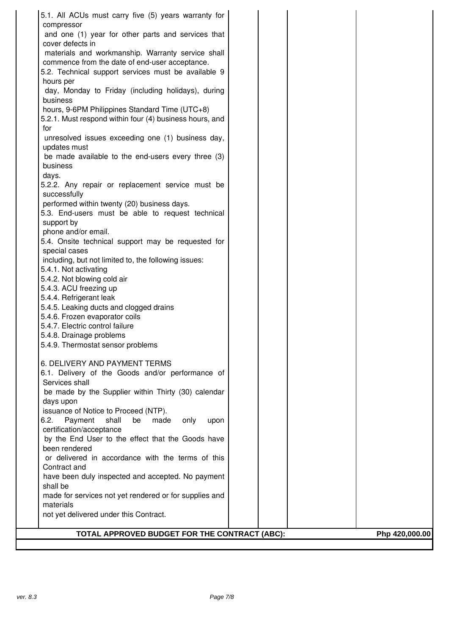| 5.1. All ACUs must carry five (5) years warranty for               |                |
|--------------------------------------------------------------------|----------------|
| compressor                                                         |                |
| and one (1) year for other parts and services that                 |                |
| cover defects in                                                   |                |
| materials and workmanship. Warranty service shall                  |                |
| commence from the date of end-user acceptance.                     |                |
| 5.2. Technical support services must be available 9                |                |
| hours per                                                          |                |
| day, Monday to Friday (including holidays), during<br>business     |                |
| hours, 9-6PM Philippines Standard Time (UTC+8)                     |                |
| 5.2.1. Must respond within four (4) business hours, and            |                |
| for                                                                |                |
| unresolved issues exceeding one (1) business day,                  |                |
| updates must                                                       |                |
| be made available to the end-users every three (3)                 |                |
| business                                                           |                |
| days.                                                              |                |
| 5.2.2. Any repair or replacement service must be                   |                |
| successfully                                                       |                |
| performed within twenty (20) business days.                        |                |
| 5.3. End-users must be able to request technical                   |                |
| support by                                                         |                |
| phone and/or email.                                                |                |
| 5.4. Onsite technical support may be requested for                 |                |
| special cases                                                      |                |
| including, but not limited to, the following issues:               |                |
| 5.4.1. Not activating                                              |                |
| 5.4.2. Not blowing cold air<br>5.4.3. ACU freezing up              |                |
| 5.4.4. Refrigerant leak                                            |                |
| 5.4.5. Leaking ducts and clogged drains                            |                |
| 5.4.6. Frozen evaporator coils                                     |                |
| 5.4.7. Electric control failure                                    |                |
| 5.4.8. Drainage problems                                           |                |
| 5.4.9. Thermostat sensor problems                                  |                |
|                                                                    |                |
| 6. DELIVERY AND PAYMENT TERMS                                      |                |
| 6.1. Delivery of the Goods and/or performance of                   |                |
| Services shall                                                     |                |
| be made by the Supplier within Thirty (30) calendar                |                |
| days upon                                                          |                |
| issuance of Notice to Proceed (NTP).                               |                |
| 6.2.<br>Payment<br>shall<br>be<br>made<br>only<br>upon             |                |
| certification/acceptance                                           |                |
| by the End User to the effect that the Goods have<br>been rendered |                |
| or delivered in accordance with the terms of this                  |                |
| Contract and                                                       |                |
| have been duly inspected and accepted. No payment                  |                |
| shall be                                                           |                |
| made for services not yet rendered or for supplies and             |                |
| materials                                                          |                |
| not yet delivered under this Contract.                             |                |
|                                                                    |                |
| TOTAL APPROVED BUDGET FOR THE CONTRACT (ABC):                      | Php 420,000.00 |
|                                                                    |                |